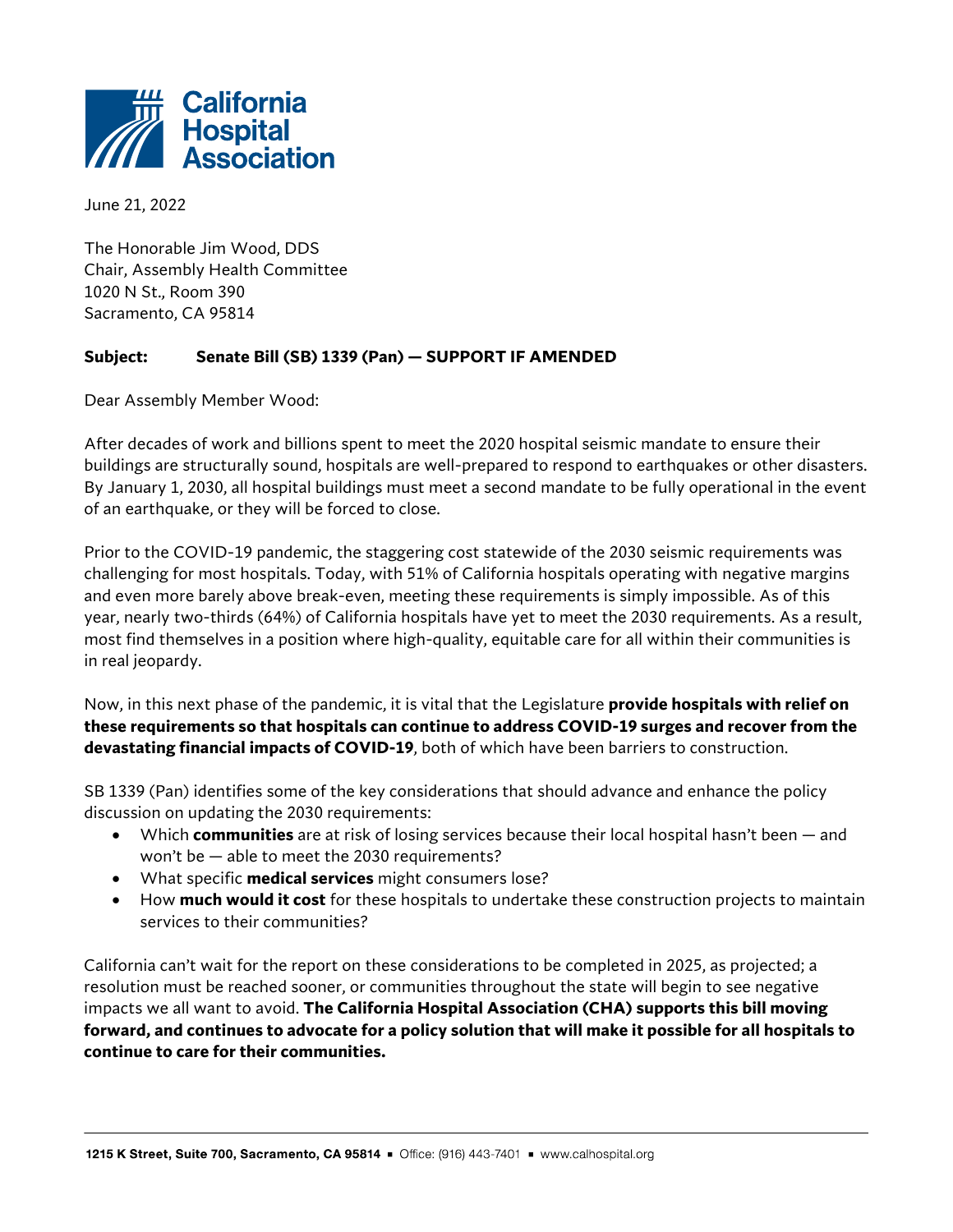

June 21, 2022

The Honorable Jim Wood, DDS Chair, Assembly Health Committee 1020 N St., Room 390 Sacramento, CA 95814

## **Subject: Senate Bill (SB) 1339 (Pan) — SUPPORT IF AMENDED**

Dear Assembly Member Wood:

After decades of work and billions spent to meet the 2020 hospital seismic mandate to ensure their buildings are structurally sound, hospitals are well-prepared to respond to earthquakes or other disasters. By January 1, 2030, all hospital buildings must meet a second mandate to be fully operational in the event of an earthquake, or they will be forced to close.

Prior to the COVID-19 pandemic, the staggering cost statewide of the 2030 seismic requirements was challenging for most hospitals. Today, with 51% of California hospitals operating with negative margins and even more barely above break-even, meeting these requirements is simply impossible. As of this year, nearly two-thirds (64%) of California hospitals have yet to meet the 2030 requirements. As a result, most find themselves in a position where high-quality, equitable care for all within their communities is in real jeopardy.

Now, in this next phase of the pandemic, it is vital that the Legislature **provide hospitals with relief on these requirements so that hospitals can continue to address COVID-19 surges and recover from the devastating financial impacts of COVID-19**, both of which have been barriers to construction.

SB 1339 (Pan) identifies some of the key considerations that should advance and enhance the policy discussion on updating the 2030 requirements:

- Which **communities** are at risk of losing services because their local hospital hasn't been and won't be — able to meet the 2030 requirements?
- What specific **medical services** might consumers lose?
- How **much would it cost** for these hospitals to undertake these construction projects to maintain services to their communities?

California can't wait for the report on these considerations to be completed in 2025, as projected; a resolution must be reached sooner, or communities throughout the state will begin to see negative impacts we all want to avoid. **The California Hospital Association (CHA) supports this bill moving forward, and continues to advocate for a policy solution that will make it possible for all hospitals to continue to care for their communities.**